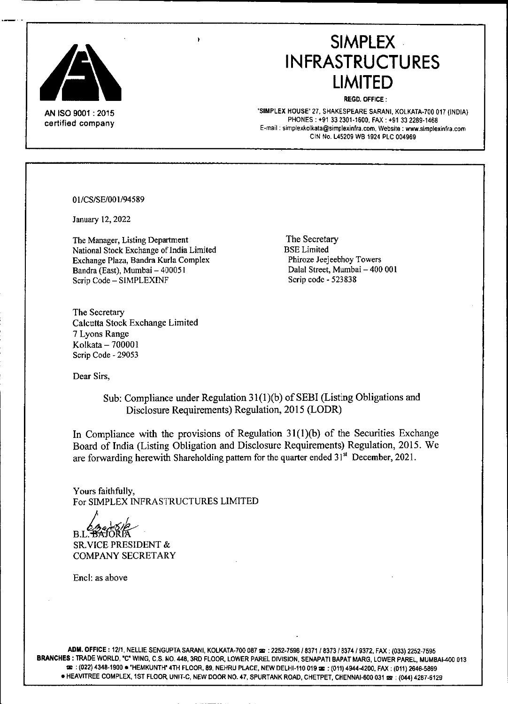

**AN** ISO 9001 : 2015 certified company

**SIMPLEX INFRASTRUCTURES LIMITED**

REGD.OfFICE:

'SIMPLEX HOUSE' 27. SHAKESPEARE SARANI. KOLKATA-700 017 (INDIA) PHONES: +91332301.1600, FAX: +91332289-1468 **E.mail [sirnplexkolkata@simplexinfra.com,](mailto:sirnplexkolkata@simplexinfra.com,) Website: [www.simplexinfra.com](http://www.simplexinfra.com)** CIN No. L45209 WB 1924 PLC 004969

01/CS/SE/001/94589

January 12, 2022

The Manager, Listing Department National Stock Exchange of India Limited Exchange Plaza, Bandra Kurla Complex Bandra (East), Mumbai - 400051 Scrip Code - SIMPLEXINF

The Secretary BSELimited Phiroze Jeejeebhoy Towers Dalal Street, Mumbai - 400 001 Scrip code - 523838

The Secretary Calcutta Stock Exchange Limited 7 Lyons Range Kolkata - 700001 Scrip Code - 29053

Dear Sirs,

Sub: Compliance under Regulation 31(1)(b) of SEBI (Listing Obligations and Disclosure Requirements) Regulation, 2015 (LODR)

In Compliance with the provisions of Regulation  $31(1)(b)$  of the Securities Exchange Board of India (Listing Obligation and Disclosure Requirements) Regulation, 2015. We are forwarding herewith Shareholding pattern for the quarter ended  $31<sup>st</sup>$  December, 2021.

Yours faithfully, For SIMPLEX INFRASTRUCTURES LIMITED

 $BL<sub>2</sub>$ SR.VICE PRESIDENT &

COMPANY SECRETARY

Enc1: as above

ADM. OFFICE: 12/1, NELLIE SENGUPTA SARANI, KOLKATA-700 087  $\bm{x}$ : 2252-7596 / 8371 / 8373 / 8374 / 9372, FAX: (033) 2252-7595 BRANCHES: TRADE WORLD, "C" WING, C.S. NO. 448, 3RD FLOOR, LOWER PAREL DIVISION, SENAPATI BAPAT MARG, LOWER PAREL, MUMBAI-400 013 **: : (022) 4348-1900.** 'HEMKUNTH' 4TH FLOOR, 89, NEHRU PLACE, NEW DELHI-110 019 **: :** (011) 4944-4200, FAX: (011) 2646-5869 · HEAVITREE COMPLEX, 1ST FLOOR UNIT-C, NEW DOOR NO. 47, SPURTANK ROAD, CHETPET, CHENNAI-600 031  $\approx$ : (044) 4287-6129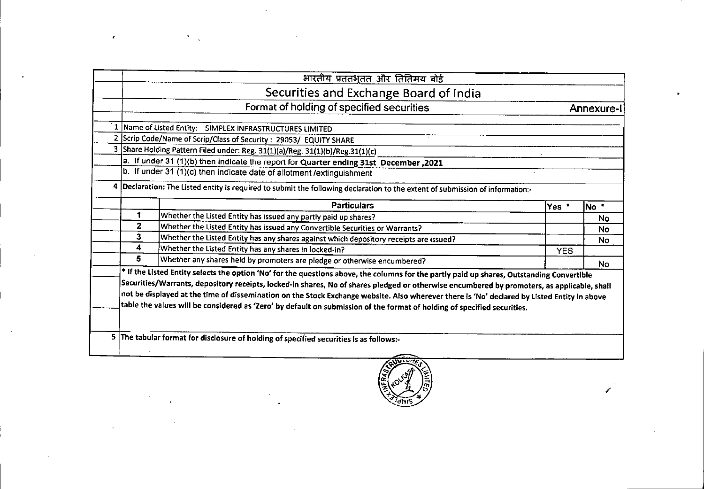|              | भारतीय प्रततभूतत और तितिमय बोर्ड                                                                                                                                                                                                                                                                                                                                                                                                                                                                                                                                     |            |                  |
|--------------|----------------------------------------------------------------------------------------------------------------------------------------------------------------------------------------------------------------------------------------------------------------------------------------------------------------------------------------------------------------------------------------------------------------------------------------------------------------------------------------------------------------------------------------------------------------------|------------|------------------|
|              | Securities and Exchange Board of India                                                                                                                                                                                                                                                                                                                                                                                                                                                                                                                               |            |                  |
|              | Format of holding of specified securities                                                                                                                                                                                                                                                                                                                                                                                                                                                                                                                            |            | <b>Annexure-</b> |
|              | 1 Name of Listed Entity: SIMPLEX INFRASTRUCTURES LIMITED                                                                                                                                                                                                                                                                                                                                                                                                                                                                                                             |            |                  |
|              | 2 Scrip Code/Name of Scrip/Class of Security: 29053/ EQUITY SHARE                                                                                                                                                                                                                                                                                                                                                                                                                                                                                                    |            |                  |
|              | 3 Share Holding Pattern Filed under: Reg. 31(1)(a)/Reg. 31(1)(b)/Reg.31(1)(c)                                                                                                                                                                                                                                                                                                                                                                                                                                                                                        |            |                  |
|              | a. If under 31 (1)(b) then indicate the report for Quarter ending 31st December, 2021                                                                                                                                                                                                                                                                                                                                                                                                                                                                                |            |                  |
|              | b. If under 31 (1)(c) then indicate date of allotment / extinguishment                                                                                                                                                                                                                                                                                                                                                                                                                                                                                               |            |                  |
|              | 4   Declaration: The Listed entity is required to submit the following declaration to the extent of submission of information:-                                                                                                                                                                                                                                                                                                                                                                                                                                      |            |                  |
|              | <b>Particulars</b>                                                                                                                                                                                                                                                                                                                                                                                                                                                                                                                                                   | Yes *      | No <sup>*</sup>  |
| 1            | Whether the Listed Entity has issued any partly paid up shares?                                                                                                                                                                                                                                                                                                                                                                                                                                                                                                      |            | <b>No</b>        |
| $\mathbf{2}$ | Whether the Listed Entity has issued any Convertible Securities or Warrants?                                                                                                                                                                                                                                                                                                                                                                                                                                                                                         |            | <b>No</b>        |
| 3            | Whether the Listed Entity has any shares against which depository receipts are issued?                                                                                                                                                                                                                                                                                                                                                                                                                                                                               |            | <b>No</b>        |
| 4            | Whether the Listed Entity has any shares in locked-in?                                                                                                                                                                                                                                                                                                                                                                                                                                                                                                               | <b>YES</b> |                  |
| 5            | Whether any shares held by promoters are pledge or otherwise encumbered?                                                                                                                                                                                                                                                                                                                                                                                                                                                                                             |            | No.              |
|              | * If the Listed Entity selects the option 'No' for the questions above, the columns for the partly paid up shares, Outstanding Convertible<br>Securities/Warrants, depository receipts, locked-in shares, No of shares piedged or otherwise encumbered by promoters, as applicable, shall<br>not be displayed at the time of dissemination on the Stock Exchange website. Also wherever there is 'No' declared by Listed Entity in above<br>table the values will be considered as 'Zero' by default on submission of the format of holding of specified securities. |            |                  |
|              | 5 The tabular format for disclosure of holding of specified securities is as follows:-                                                                                                                                                                                                                                                                                                                                                                                                                                                                               |            |                  |
|              | へんしこうかい                                                                                                                                                                                                                                                                                                                                                                                                                                                                                                                                                              |            |                  |

 $\mathbf{r}$ 



;'

•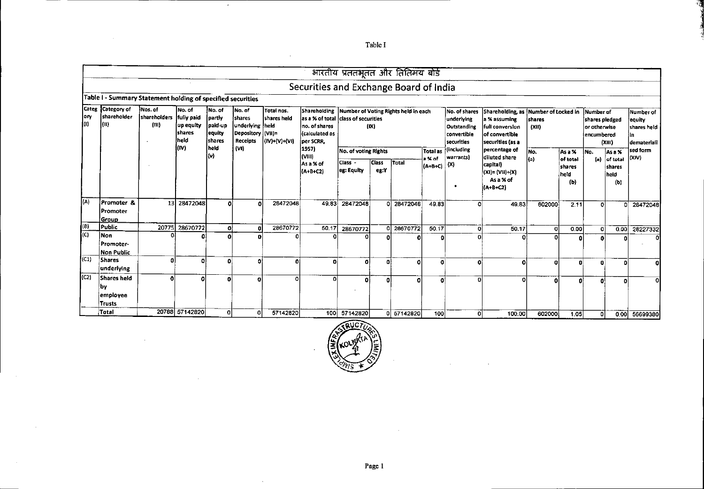भारतीय प्रततभूतत और तितिमय बोर्ड Securities and Exchange Board of India Table I - Summary Statement holding of specified securities Categ Category of Nos. of No. of No. of No. of Total nos. Shareholding Number of Voting Rights held in each No. of shares Shareholding, as Number of Locked in Number of Number of ory shareholder *shareholders* fully paid partly shares shares held as a % of total class of securities underlying a % assuming *shares* shares pledged equity lo loo  $(n)$ up equity paid-up underlying held no, of shares  $(1)X$ Outstanding full conversion  $\alpha$ in or otherwise shares held **Ishares** lequity Depository (VIII= *calculated as* convertible of convertible *encumbered* İn. İheid ∫shares **Receipts** (IV)+(V)+(VI) per SCRR, securities securities (as a  $(XIII)$ demateriali l(IV) İheld (VI) 1957) (including percentage of sed form No. of voting Rights Total as No. As a % As a % No. l(v). (VIII) warrants) diluted share loavs a % of of total of total  $(a)$  $(a)$ Class -**Class** Total As a % of  $|(A+B+C)|^{(X)}|$ capital) **shares** shares eg: Equity eg:Y  $(A+B+C2)$ (XI)= (VII)+(X) held held As a % of  $(b)$  $(b)$  $\bullet$ (A+B+C2) [(A) Promoter & 13 28472048 28472048 49.83 28472048  $0$  28472048  $\overline{\mathbf{o}}$  $\mathbf{a}$  $49.83$ त  $49.83$ 602000  $2.11$  $\overline{0}$  28472048  $\overline{\mathsf{d}}$ Promoter Group l (B) Public 20775 28670772 28670772  $50.17$ -ol  $\overline{a}$ 28670772 0 28670772  $50.17$ 히  $50.17$  $0.00$ 0.00 28227332  $\overline{\mathbf{c}}$ ol  $\overline{C}$ Non n  $\Omega$ O o  $\overline{ }$  $\overline{\phantom{a}}$ ß  $\mathbf{r}$ n Ä  $\Omega$ n Promoter-Non Public  $\overline{(C1)}$ Shares -ol Ωl þ. ۵l  $\overline{\mathbf{0}}$  $\overline{\mathfrak{o}}$ ി -al -ol  $\overline{\mathbf{0}}$  $\overline{\bullet}$ [o  $\sigma$ ol  $\mathbf 0$  $\mathbf{a}$ underlying  $\overline{\text{[C2]}}$ Shares held  $\overline{\mathbf{o}}$  $\overline{\mathbf{a}}$ 고  $\Omega$ ol  $\overline{0}$ ΪŌ  $\overline{0}$  $\overline{\mathbf{0}}$ 혀  $\overline{\phantom{a}}$  $\overline{\mathbf{o}}$  $\ddot{\mathbf{0}}$ o nl οl **by** employee **Trusts** Total 20788 57142820 o.  $\overline{\mathbf{0}}$ 57142820 100 57142820 0 57142820  $100$ - oT 100.00 602000  $1.05$ 0.00 56699380  $\overline{\mathfrak{g}}$ 

Table I

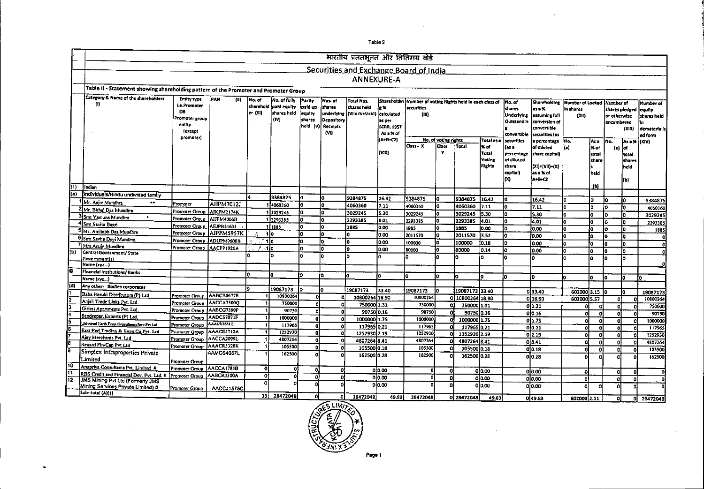|                           |                                                                                      |                                  |                                 |                     |                             |                   |            | भारतीय प्रततभूतत और तितिमय बोर्ड          |                   |                                               |                      |                        |                  |                          |                                       |                            |          |                            |                |               |
|---------------------------|--------------------------------------------------------------------------------------|----------------------------------|---------------------------------|---------------------|-----------------------------|-------------------|------------|-------------------------------------------|-------------------|-----------------------------------------------|----------------------|------------------------|------------------|--------------------------|---------------------------------------|----------------------------|----------|----------------------------|----------------|---------------|
|                           |                                                                                      |                                  |                                 |                     |                             |                   |            |                                           |                   |                                               |                      |                        |                  |                          |                                       |                            |          |                            |                |               |
|                           |                                                                                      |                                  |                                 |                     |                             |                   |            | Securities and Exchange Board of India    |                   |                                               |                      |                        |                  |                          |                                       |                            |          |                            |                |               |
|                           |                                                                                      |                                  |                                 |                     |                             |                   |            | <b>ANNEXURE-A</b>                         |                   |                                               |                      |                        |                  |                          |                                       |                            |          |                            |                |               |
|                           | Table II - Statement showing shareholding pattern of the Promoter and Promoter Group |                                  |                                 |                     |                             |                   |            |                                           |                   |                                               |                      |                        |                  |                          |                                       |                            |          |                            |                |               |
|                           | <b>Category &amp; Name of the shareholders</b>                                       | <b>Entity type</b>               |                                 |                     |                             |                   |            |                                           |                   |                                               |                      |                        |                  |                          |                                       |                            |          |                            |                |               |
|                           | m                                                                                    | <b>Le.Promoter</b>               | PAN<br>m                        | No. of<br>sharehold | No. of fully<br>pald equity | Partly            | Nos. of    | <b>Total Nos.</b>                         | Sharehotdin       | Number of voting Rights held in each class of |                      |                        |                  | No. of                   | Shareholding                          | Number of Locked Number of |          |                            |                | Number of     |
|                           |                                                                                      | OR                               |                                 | er (11)]            | shares held                 | paid up<br>equity | shares     | shares held<br>undertying [[VII= (V+V+VI] | e %<br>calculated | securities                                    |                      |                        |                  | shares                   | les a %                               | In shares                  |          |                            | shares piedged | equity.       |
|                           |                                                                                      | Promoter group                   |                                 |                     | (M                          | shares            | Depository |                                           | as per            | (DC)                                          |                      |                        |                  | Underlying<br>Outstandin | <b>essuming full</b><br>conversion of | (XII)                      |          | or otherwise<br>encumbered |                | shares held   |
|                           |                                                                                      | entity                           |                                 |                     |                             | held (V)          | Receipts   |                                           | <b>SCRR, 1957</b> |                                               |                      |                        |                  |                          | convertible                           |                            |          |                            | (x  t)         | dematerialis; |
|                           |                                                                                      | fexcent<br>promoteri             |                                 |                     |                             |                   | MI         |                                           | As a % of         |                                               |                      |                        |                  | convertible              | securities (as                        |                            |          |                            |                | ed form       |
|                           |                                                                                      |                                  |                                 |                     |                             |                   |            |                                           | (A+B+C2)          |                                               | No. of voting rights |                        | Total as a       | securities               | a percentage                          | İNo.                       | ¦Asa     | No.                        |                | As = X (XIV)  |
|                           |                                                                                      |                                  |                                 |                     |                             |                   |            |                                           | <b>MIII</b>       | Class - X                                     | Cass<br>×            | Total                  | l% of            | fas a                    | of diluted                            | l (a)                      | ⊁ of     | $\blacksquare$             | ¦of            |               |
|                           |                                                                                      |                                  |                                 |                     |                             |                   |            |                                           |                   |                                               |                      |                        | Total<br>Voting  | percentage<br>of diluted | share capital)                        |                            | total    |                            | total          |               |
|                           |                                                                                      |                                  |                                 |                     |                             |                   |            |                                           |                   |                                               |                      |                        | Rights           | share                    | (XI)={VII}+(X)                        |                            | share    |                            | thares<br>heid |               |
|                           |                                                                                      |                                  |                                 |                     |                             |                   |            |                                           |                   |                                               |                      |                        |                  | capital)                 | asa % of                              |                            | held     |                            |                |               |
|                           |                                                                                      |                                  |                                 |                     |                             |                   |            |                                           |                   |                                               |                      |                        |                  | lm                       | <b>A+8+C2</b>                         |                            |          |                            | łЫ             |               |
| m                         | Indian                                                                               |                                  |                                 |                     |                             |                   |            |                                           |                   |                                               |                      |                        |                  |                          |                                       |                            | (b)      |                            |                |               |
| (a)                       | Individuals/Hindu undivided family                                                   |                                  |                                 |                     |                             |                   |            |                                           |                   |                                               |                      |                        |                  |                          |                                       |                            |          |                            |                |               |
|                           | Mr. Rajiv Mundhra<br>$\bullet\bullet$                                                | Promoter                         | <b>AIIPM7012J</b>               |                     | 9384875<br>4060360          | I٥                |            | 9384875                                   | 16.42             | 9384875                                       | l٥                   | 9384875                | 16.42            | I٥                       | 16.42                                 |                            | lo.      | l٥                         | ia.            | 9384875       |
|                           | <sup>2</sup> Mr. Bithal Das Mundhra                                                  | Promoter Group                   | AJKPM2174K                      |                     | 3029245                     | io.               |            | 4060360                                   | 7.11              | 4060360                                       | l٥                   | 4060360                | 7.11             | l۵                       | 7.11                                  |                            | lo.      | ł٥                         | lo.            | 4060360       |
|                           | 3 Smt Yamuna Mundhra<br>$\bullet$                                                    | Promoter Group                   | AIJPM4066B                      |                     | 2293385                     | I٥                |            | 3029245                                   | 5.30              | 3029245                                       | lo.                  | 3029245                | 5.30             | ۱٥                       | 5.30                                  | lo.                        | lo.      | I٥                         | I٥             | 3029245       |
|                           | <sup>41</sup> Smt Savita Bagri                                                       | Promoter Group                   | AEJPB31631                      |                     | 111885                      | I٥                |            | 2293385<br>1885                           | 4.01<br>0.00      | 2293385                                       | lo.                  | 2293385                | 4.01             | l٥                       | 4.01                                  | 'n                         | la.      | lo.                        | l٥             | 2293385       |
|                           | Mr. Amitabh Das Mundhra                                                              | Promoter Group                   | AIPPM5957K                      | $\mathcal{M}$       | 4lo                         | la.               |            | l٥                                        | 10.00             | 1885<br>2011570                               | l٥<br>l٥             | 1885                   | 0.00             | l٥                       | lo.oo                                 | lo.                        | lo.      | lo                         | lo.            | 1885          |
|                           | <sup>5</sup> Smt.Savita Devi Mundhra                                                 | Promoter Group                   | ADUPM9608B                      |                     | 1lo                         | ١n                |            | I٥                                        | 0.00              | 100000                                        | l٥                   | 2011570<br>100000      | 3.52             | h                        | 0.00                                  | lo.                        | l۵       | la.                        | la.            |               |
|                           | Mrs.Anuja Mundhra                                                                    | Promoter Group                   | AACPP1920A                      | in ya               | -1 lo                       | 'n                | h          | l٥                                        | 0.00              | 80000                                         | l٥                   | 80000                  | 10.18<br>0.14    | n<br>n                   | 0.00<br>lo.oo                         | lo.<br>n.                  | lo.      | lo.                        | l٥             |               |
| $\overline{(\mathtt{b})}$ | Central Government/ State                                                            |                                  |                                 |                     | I٥                          |                   | In         | ł٥                                        |                   | ın.                                           | l٥                   | ۱n.                    | l٥               | 'n                       | I۵                                    | n                          | l۵<br>l٥ | lo.                        | l٥             |               |
|                           | Government(s)<br>Name (xyz)                                                          |                                  |                                 |                     |                             |                   |            |                                           |                   |                                               |                      |                        |                  |                          |                                       |                            |          | io.                        | l٥             |               |
| ۰                         | Financial Institutions/Banks                                                         |                                  |                                 |                     |                             |                   |            |                                           |                   |                                               |                      |                        |                  |                          |                                       |                            |          |                            |                |               |
|                           | Name (xyz                                                                            |                                  |                                 | 'n                  | la.                         | 'n                | ł٥         |                                           |                   |                                               | lo.                  | l0.                    | l٥               | 'n                       | lo.                                   | o                          | ١o       | l٥                         | l٥             | I٥            |
| o)                        | Any other- Bodies corporates                                                         |                                  |                                 |                     |                             |                   |            |                                           |                   |                                               |                      |                        |                  |                          |                                       |                            |          |                            |                |               |
|                           | Baba Basuki Distributors (P) Ltd                                                     |                                  |                                 |                     | 19087173                    |                   | l٥         | 19087173                                  | 33.40             | 19087173                                      | lo.                  | 19087173 33.40         |                  |                          | 033.40                                | 602000 3.15 10             |          |                            | l۵             | 19087173      |
| 2                         | Anjali Trade Links Pvt, Ltd.                                                         | Promoter Group                   | AABCB0672R<br><b>AACCA7500O</b> |                     | 10800264                    |                   | 0          | 10800264 18.90                            |                   | 10800264                                      |                      | 0 10800264 18.90       |                  |                          | 0 18.90                               | 602000 5.57                |          | ń                          |                | 10800264      |
|                           | Giriraj Apartments Pvt. Ltd.                                                         | Promoter Group<br>Promoter Group | AABCG7390P                      |                     | 750000<br>90750             | Ω                 | ٥l         | 7500001.31                                |                   | 750000                                        |                      | 750000 1.31            |                  |                          | 011.31                                | Ω                          |          | o                          |                | 750000        |
|                           | Sandeepan Exports (P) Ltd.                                                           | <b>Promoter Group</b>            | AADCS7071F                      |                     | 1000000                     | n.                | οl         | 90750 0.16                                |                   | 90750                                         |                      | 9075010.16             |                  |                          | 00.16                                 | o                          | O        | o                          | D.             | 90750         |
|                           | Universal Earth Enge Consultancy Serv Pvt Ltd                                        | Promoter Circun                  | <b>AAACUT881E</b>               |                     | 117965                      | Λ                 | οl         | 10000001.75                               |                   | 1000000                                       |                      | 1000000 1.75           |                  |                          | 01.75                                 | ٥l                         | n        | 0                          | $\Omega$       | 1000000       |
|                           | East End Trading & Enge Co.Pvt. Ltd                                                  | Promoter Group                   | AAACE3712A                      |                     | 1252930                     | n                 | 0.         | 1179650.21                                |                   | 117965                                        |                      | 1179650.21             |                  |                          | 0 0.21                                | -o1                        | o        | ۰                          | $\bullet$      | 117965        |
|                           | Ajay Merchants Pvt. Ltd                                                              | Promoter Group                   | AACCA2099L                      |                     | 4307264                     | n                 | ol<br>οI   | 1252930 2.19                              |                   | 1252930<br>4807264                            |                      | 1252930 2.19           |                  |                          | 0 2.19                                | -ol                        | ٥        | o                          | c              | 1252930       |
|                           | Regard Fin-Cap Pvt Ltd                                                               | Promoter Group                   | AAACR5328K                      |                     | 105500                      |                   | οl         | 4807264 8.41<br>105500 0.18               |                   | 105500                                        |                      | 4807264 8.41           |                  |                          | 0 8.41                                | ol                         | ol       | ۵                          | -0             | 4807264       |
|                           | Simplex Infraproperties Private                                                      |                                  | AAMCS4057L                      |                     | 162500                      |                   | n          | 162500 0.28                               |                   | 162500                                        |                      | 105500 <sub>0.18</sub> |                  |                          | 010.18                                | ol                         | o        | ο                          | -0             | 105500        |
|                           | Limited                                                                              | Promoter Group                   |                                 |                     |                             |                   |            |                                           |                   |                                               |                      | 162500 0.28            |                  |                          | olo.28                                | o                          |          |                            |                | 162500        |
| 10                        | Anupriya Consultants Pvt. Limited #                                                  | Promoter Groun                   | AACCA1781B                      | ol                  | οl                          |                   | ΩI         |                                           | 010.00            | -01                                           | ΩI                   |                        |                  |                          |                                       |                            |          |                            |                |               |
| 11                        | RBS Credit and Financial Dev. Pvt. Ltd. #                                            | l Promoter Group                 | AABCR3300A                      | 이                   | ΩI                          |                   | O.         |                                           | 010.00            | ΩI                                            | n                    |                        | 010.00<br>010.00 |                          | 0 <sub>10.00</sub>                    | ٥l                         |          | $\Omega$                   | o              |               |
| 12                        | <b>JMS Mining Pvt Ltd (Formerly JMS</b>                                              |                                  |                                 | $\Omega$            |                             |                   | .ol        |                                           | olo.co            |                                               | o                    |                        | olo.oo           |                          | 010.00<br>0.00                        | ٥l<br>ō                    | n        | ٥l<br>$\Omega$             | o              |               |
|                           | Mining Services Private Limited) #<br>Sub-total (A)(1)                               | Promoter Group                   | AACCJ1575C                      |                     |                             |                   |            |                                           |                   |                                               |                      |                        |                  |                          |                                       |                            |          |                            |                |               |
|                           |                                                                                      |                                  |                                 |                     | 13 28472048                 | n١                | ٥I         | 28472048                                  | 49.83             | 28472048                                      |                      | 0 28472048             | 49.83            |                          | 0 49.83                               | 602000 2.11                |          | ol                         | οI             | 28472048      |

Table 2

ä,



 $\mathbf{r}$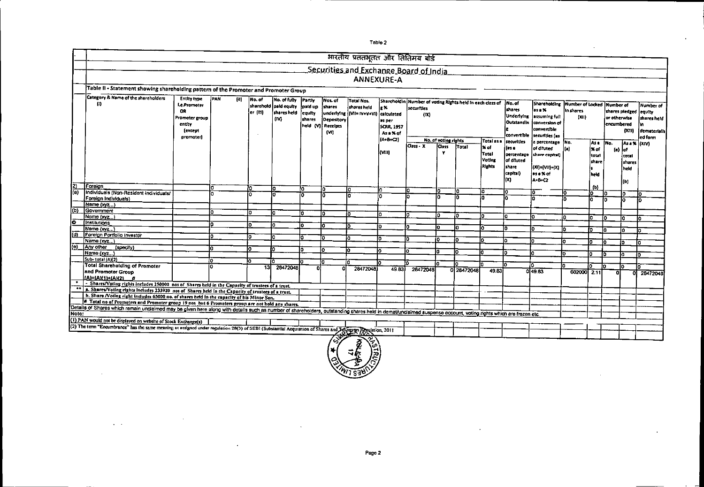|           |                                                                                                                                                                                                                |                                                                              |            |                 |                                             |                             |                                                  |                                                     |                                                          | भारतीय प्रततभूतत और तितिमय बोर्ड                                     |                                                 |            |                                                  |                                                                            |                                                                                                                      |                    |                                          |                            |                                                         |                                                                       |
|-----------|----------------------------------------------------------------------------------------------------------------------------------------------------------------------------------------------------------------|------------------------------------------------------------------------------|------------|-----------------|---------------------------------------------|-----------------------------|--------------------------------------------------|-----------------------------------------------------|----------------------------------------------------------|----------------------------------------------------------------------|-------------------------------------------------|------------|--------------------------------------------------|----------------------------------------------------------------------------|----------------------------------------------------------------------------------------------------------------------|--------------------|------------------------------------------|----------------------------|---------------------------------------------------------|-----------------------------------------------------------------------|
|           |                                                                                                                                                                                                                |                                                                              |            |                 |                                             |                             |                                                  |                                                     |                                                          | Securities and Exchange Board of India                               |                                                 |            |                                                  |                                                                            |                                                                                                                      |                    |                                          |                            |                                                         |                                                                       |
|           |                                                                                                                                                                                                                |                                                                              |            |                 |                                             |                             |                                                  |                                                     | <b>ANNEXURE-A</b>                                        |                                                                      |                                                 |            |                                                  |                                                                            |                                                                                                                      |                    |                                          |                            |                                                         |                                                                       |
|           | Table II - Statement showing shareholding pattern of the Promoter and Promoter Group                                                                                                                           |                                                                              |            |                 |                                             |                             |                                                  |                                                     |                                                          |                                                                      |                                                 |            |                                                  |                                                                            |                                                                                                                      |                    |                                          |                            |                                                         |                                                                       |
|           | Category & Name of the shareholders                                                                                                                                                                            | <b>Entity type</b>                                                           | PAN<br>(0) | No. of          | No. of fully                                | Parth                       | Nos. of                                          | <b>Total Nos.</b>                                   |                                                          |                                                                      |                                                 |            |                                                  |                                                                            |                                                                                                                      |                    |                                          |                            |                                                         |                                                                       |
|           | (I)                                                                                                                                                                                                            | <b>Le.Promoter</b><br>OR<br>Promoter group<br>entity<br>fexcent<br>promoter) |            | er (111)        | sharehold paid equity<br>shares held<br>(M) | paid up<br>equity<br>shares | shares<br>Depository<br>held (V) Receipts<br>(M) | shares held<br>underlying (VII= IV+V+VI) calculated | Sharcholdin<br>ls %<br>as per<br>SCRR, 1957<br>As a % of | Number of voting Rights held in each class of<br>securities.<br>(DX) |                                                 |            |                                                  | No. of<br>shares<br>Underlying<br>Outstandin<br>convertible                | Shareholding Number of Locked Number of<br>as a %<br>assuming full<br>conversion of<br>convertible<br>securities (as | In shares<br>(XII) |                                          | or otherwise<br>encumbered | shares pledged<br>(X311)                                | Number of<br><b>coulty</b><br>shares held<br>dematerialis)<br>ed form |
|           |                                                                                                                                                                                                                |                                                                              |            |                 |                                             |                             |                                                  |                                                     | $(A + B + C2)$<br>kvm).                                  | Class - X                                                            | No. of voting rights<br><b>Cass</b><br><b>Y</b> | Total      | Total as a<br>l% of<br>Total<br>Voting<br>Rights | securities<br>ím a<br>percentage<br>of diluted<br>share<br>croftal)<br>lm. | a percentage No.<br>of diluted<br>share capital)<br>(XI)=(VII)+(X)<br>as a % of<br><b>A+B+C2</b>                     |                    | lAs a<br>l% of<br>total<br>share<br>held | ino.<br>(a)                | As = % (XIV)<br>laf<br>total<br>shares<br>held<br>l (b) |                                                                       |
| 2)<br>(a) | Foreian                                                                                                                                                                                                        |                                                                              | ٥          | lo.             | I٥                                          | ۱a                          | ٥                                                |                                                     | lo.                                                      | l٥                                                                   | lö                                              | I۵         | ۵                                                | I٥                                                                         | Ō                                                                                                                    |                    | ſЫ                                       |                            |                                                         |                                                                       |
|           | Individuals (Non-Resident Individuals)<br>Foreign Individuals)                                                                                                                                                 |                                                                              |            | o               |                                             | 'n                          | Iñ                                               | In                                                  | ł٨                                                       |                                                                      | lо                                              | In         | ł۸                                               | lo                                                                         | la.                                                                                                                  | 'n                 | łσ<br>lп                                 | lo.<br>łσ                  | lo.<br>lо                                               | lo.                                                                   |
|           | Name $(xyz)$                                                                                                                                                                                                   |                                                                              |            |                 |                                             |                             |                                                  |                                                     |                                                          |                                                                      |                                                 |            |                                                  |                                                                            |                                                                                                                      |                    |                                          |                            |                                                         | l٥                                                                    |
| (b)       | Government                                                                                                                                                                                                     |                                                                              | l٥         | lo.             | la                                          |                             | ł۵                                               |                                                     |                                                          |                                                                      |                                                 |            |                                                  |                                                                            |                                                                                                                      |                    |                                          |                            |                                                         |                                                                       |
|           | Name (xvz                                                                                                                                                                                                      |                                                                              |            |                 |                                             |                             |                                                  | I٥                                                  | I٥                                                       | I٥                                                                   | l٥                                              | n          | lo                                               | n                                                                          | n                                                                                                                    |                    | lo.                                      | IO.                        | lo:                                                     | Ĩ٥                                                                    |
| ۰         | [Institutions                                                                                                                                                                                                  |                                                                              | n          | ١o              | la.                                         |                             | l٥                                               | ۱O                                                  | tΟ                                                       | m                                                                    |                                                 |            |                                                  |                                                                            |                                                                                                                      |                    |                                          |                            |                                                         |                                                                       |
|           | Name (xvz)                                                                                                                                                                                                     |                                                                              |            |                 |                                             |                             |                                                  |                                                     |                                                          |                                                                      | n                                               | n          | I٥                                               | n                                                                          | n.                                                                                                                   | n                  | to.                                      | lo <sup>-</sup>            | ١o                                                      | I٥                                                                    |
| (d)       | Foreign Pontolio Investor                                                                                                                                                                                      |                                                                              |            | I٥              | n                                           |                             |                                                  | ın                                                  | ю                                                        |                                                                      | o                                               |            |                                                  |                                                                            |                                                                                                                      |                    |                                          |                            |                                                         |                                                                       |
|           | Name (xyz)                                                                                                                                                                                                     |                                                                              |            |                 |                                             |                             |                                                  |                                                     |                                                          |                                                                      |                                                 | l٥         | m                                                |                                                                            | n                                                                                                                    | I٥                 |                                          | lo.                        | to.                                                     | lo.                                                                   |
| (e)       | Any other (specify)                                                                                                                                                                                            |                                                                              | lo         | lo.             | IO.                                         | o.                          | l٥                                               | in.                                                 | ١o                                                       | n                                                                    | o                                               | Ιo         | n                                                |                                                                            |                                                                                                                      |                    |                                          |                            |                                                         |                                                                       |
|           | Name (xyz)                                                                                                                                                                                                     |                                                                              |            |                 |                                             |                             |                                                  |                                                     |                                                          |                                                                      |                                                 |            |                                                  | ın                                                                         | lo.                                                                                                                  | O.                 |                                          | 'n                         | ١o                                                      | łσ                                                                    |
|           | Sub-total (A)(2)                                                                                                                                                                                               |                                                                              | 'n         | n               |                                             |                             | 'n                                               | ۱n                                                  |                                                          | m                                                                    | l0.                                             | in.        | 'n                                               |                                                                            |                                                                                                                      |                    |                                          |                            |                                                         |                                                                       |
|           | <b>Total Shareholding of Promoter</b><br>and Promoter Group<br><b>A-4811HAX21 #</b>                                                                                                                            |                                                                              |            | $\overline{13}$ | 28472048                                    |                             | o                                                | 28472048                                            | 49.83                                                    | 28472048                                                             |                                                 | 0 28472048 | 49.83                                            |                                                                            | ם.<br>049.83                                                                                                         | ln.<br>602000 2.11 | m                                        | lo.<br>۵I                  | I٥<br>οl                                                | 28472048                                                              |
|           | - Shares/Voting rights includes 250000 nos of Shares held in the Capacity of trustees of a trust.                                                                                                              |                                                                              |            |                 |                                             |                             |                                                  |                                                     |                                                          |                                                                      |                                                 |            |                                                  |                                                                            |                                                                                                                      |                    |                                          |                            |                                                         |                                                                       |
|           | a. Shares/Voting rights includes 233920 nos of Shares held in the Capacity of trustees of a trust.                                                                                                             |                                                                              |            |                 |                                             |                             |                                                  |                                                     |                                                          |                                                                      |                                                 |            |                                                  |                                                                            |                                                                                                                      |                    |                                          |                            |                                                         |                                                                       |
|           | b. Share Noting right includes 65000 no. of shares held in the capacity of his Minor Son.                                                                                                                      |                                                                              |            |                 |                                             |                             |                                                  |                                                     |                                                          |                                                                      |                                                 |            |                                                  |                                                                            |                                                                                                                      |                    |                                          |                            |                                                         |                                                                       |
|           | # Total no of Promoters and Promoter group 19 nos but 6 Promoters group are not hold any shares.                                                                                                               |                                                                              |            |                 |                                             |                             |                                                  |                                                     |                                                          |                                                                      |                                                 |            |                                                  |                                                                            |                                                                                                                      |                    |                                          |                            |                                                         |                                                                       |
|           | Details of Shares which remain unclaimed may be given here along with details such as number of shareholders, outstanding shares held in demat/unclaimed suspense account, voting rights which are frozen etc. |                                                                              |            |                 |                                             |                             |                                                  |                                                     |                                                          |                                                                      |                                                 |            |                                                  |                                                                            |                                                                                                                      |                    |                                          |                            |                                                         |                                                                       |
|           |                                                                                                                                                                                                                |                                                                              |            |                 |                                             |                             |                                                  |                                                     |                                                          |                                                                      |                                                 |            |                                                  |                                                                            |                                                                                                                      |                    |                                          |                            |                                                         |                                                                       |
|           | (1) PAN would not be displayed on website of Stock Exchange(s)                                                                                                                                                 |                                                                              |            |                 |                                             |                             |                                                  |                                                     |                                                          |                                                                      |                                                 |            |                                                  |                                                                            |                                                                                                                      |                    |                                          |                            |                                                         |                                                                       |
|           | (2) The term "Encumbrance" has the same meaning as assigned under regulation 28(3) of SEBI (Substantial Acquisition of Shares and Toyogo Regulation, 2011                                                      |                                                                              |            |                 |                                             |                             |                                                  |                                                     |                                                          |                                                                      |                                                 |            |                                                  |                                                                            |                                                                                                                      |                    |                                          |                            |                                                         |                                                                       |
|           |                                                                                                                                                                                                                |                                                                              |            |                 |                                             |                             |                                                  |                                                     |                                                          |                                                                      |                                                 |            |                                                  |                                                                            |                                                                                                                      |                    |                                          |                            |                                                         |                                                                       |
|           |                                                                                                                                                                                                                |                                                                              |            |                 |                                             |                             |                                                  | $\langle \vec{z} \rangle$<br>ā                      |                                                          |                                                                      |                                                 |            |                                                  |                                                                            |                                                                                                                      |                    |                                          |                            |                                                         |                                                                       |

Table 2



 $\mathcal{L} \rightarrow \mathcal{L}$ 

 $\cdot$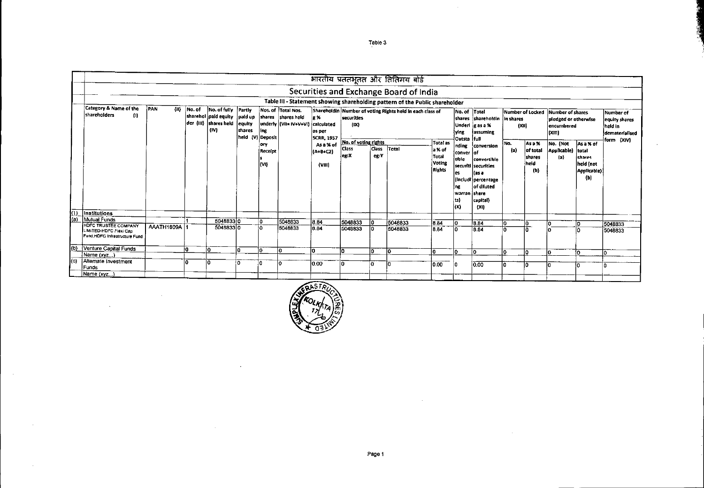|      |                                                         |                     |        |                                                                                             |                            |                         |                                                                               |                                          |                                        |                      | भारतीय प्रततभूतत और तितिमय बोर्ड                                             |                                                                |                                                                          |                                                                                                                     |            |                                             |                                                                                                 |                                                                        |                                                         |
|------|---------------------------------------------------------|---------------------|--------|---------------------------------------------------------------------------------------------|----------------------------|-------------------------|-------------------------------------------------------------------------------|------------------------------------------|----------------------------------------|----------------------|------------------------------------------------------------------------------|----------------------------------------------------------------|--------------------------------------------------------------------------|---------------------------------------------------------------------------------------------------------------------|------------|---------------------------------------------|-------------------------------------------------------------------------------------------------|------------------------------------------------------------------------|---------------------------------------------------------|
|      |                                                         |                     |        |                                                                                             |                            |                         |                                                                               |                                          |                                        |                      | Securities and Exchange Board of India                                       |                                                                |                                                                          |                                                                                                                     |            |                                             |                                                                                                 |                                                                        |                                                         |
|      |                                                         |                     |        |                                                                                             |                            |                         |                                                                               |                                          |                                        |                      | Table III - Statement showing shareholding pattern of the Public shareholder |                                                                |                                                                          |                                                                                                                     |            |                                             |                                                                                                 |                                                                        |                                                         |
|      | Category & Name of the<br>shareholders<br>$^{(1)}$      | <b>IPAN</b><br>(II) | No. of | No. of fully Partly<br>sharehol paid equity paid up<br>der (III) shares held equity<br>(IV) | shares<br>held (V) Deposit | Ing                     | Nos. of Total Nos.<br>shares shares held<br>underly (VII= IV+V+VI) calculated | $\vert x \times$<br>as per<br>SCRR, 1957 | securities<br>(1)                      |                      | Shareholdin Number of voting Rights held in each class of                    |                                                                | No. of Total<br>lying.<br>Outsta Ifull                                   | shares shareholdin in shares<br>Underl <i>g</i> as a %<br>lassumine                                                 | (XII)      |                                             | Number of Locked Number of shares<br>pledged or otherwise<br>lencumbered<br>(x <sub>III</sub> ) |                                                                        | Number of<br>equity shares<br>held in<br>dematerialised |
|      |                                                         |                     |        |                                                                                             |                            | lory<br>Receipt<br>(VI) |                                                                               | As a % of<br>(A+B+C2)<br>(VIII)          | No. of voting rights<br>Class<br>leg:X | <b>Class</b><br>eg:Y | Total                                                                        | <b>Total as</b><br>la % of<br>Total<br>Voting<br><b>Rights</b> | nding<br>conver of<br>itible<br>es<br>ng<br>warran share<br>lts)<br>ltxi | conversion<br>convertible<br>securiti securities<br>lías a<br>(Includi percentage<br>of diluted<br>capital)<br>(XI) | No.<br>(a) | As a %<br>of total<br>shares<br>held<br>(b) | No. {Not<br>Applicable)<br>(a)                                                                  | As a % of<br>total<br><i>shares</i><br>held (not<br>Applicable)<br>(b) | form (XIV)                                              |
| kD)  | Institutions                                            |                     |        |                                                                                             |                            |                         |                                                                               |                                          |                                        |                      |                                                                              |                                                                |                                                                          |                                                                                                                     |            |                                             |                                                                                                 |                                                                        |                                                         |
| l(a) | Mutual Funds<br><b>HDFC TRUSTEE COMPANY</b>             |                     |        | 504883310                                                                                   |                            | lo.                     | 5048833                                                                       | 18.84                                    | 5048833                                |                      | 5048833                                                                      | 8.84                                                           | lо                                                                       | 8.84                                                                                                                |            | I٥                                          |                                                                                                 |                                                                        | 5048833                                                 |
|      | LIMITED-HDFC Flexi Cap<br>Fund.HDFC Infrastructure Fund | AAATH1809A          |        | 504883310                                                                                   |                            | ١o                      | 5048833                                                                       | 884                                      | 5048833                                |                      | 5048833                                                                      | 8.84                                                           | IО                                                                       | 8.84                                                                                                                |            | Ιā                                          |                                                                                                 |                                                                        | 5048833                                                 |
| 间    | Venture Capital Funds                                   |                     | I٥     | I∩                                                                                          | lo.                        | I٥                      | ١a                                                                            | lo.                                      |                                        |                      | l٥                                                                           | m                                                              | I٥                                                                       | ln.                                                                                                                 | lo.        | ln.                                         | l0.                                                                                             | łо                                                                     | l٥                                                      |
|      | Name (xvz)                                              |                     |        |                                                                                             |                            |                         |                                                                               |                                          |                                        |                      |                                                                              |                                                                |                                                                          |                                                                                                                     |            |                                             |                                                                                                 |                                                                        |                                                         |
| (c)  | Altemate Investment<br><b>Funds</b>                     |                     | ln.    |                                                                                             | l0.                        |                         | 10.                                                                           | lo.oo                                    |                                        | o                    | ١o                                                                           | io oo                                                          | חו                                                                       | 0.00                                                                                                                | l۵         | I٥                                          | ın                                                                                              |                                                                        | n                                                       |
|      | Name (xyz)                                              |                     |        |                                                                                             |                            |                         |                                                                               |                                          |                                        |                      |                                                                              |                                                                |                                                                          |                                                                                                                     |            |                                             |                                                                                                 |                                                                        |                                                         |



 $\bar{z}$ 

Table 3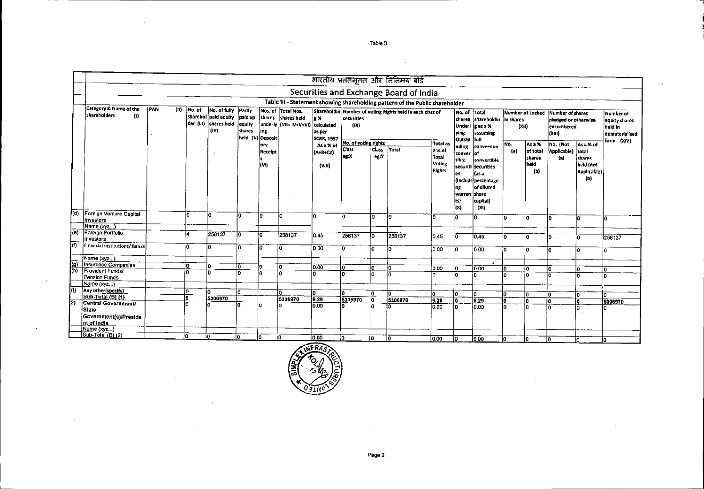|                     |                                                               |       |     |        |                                                                                |                             |                         |                                                                   |                                                          |                      |                      | भारतीय प्रततभूतत और तितिमय बोर्ड                                             |                                            |                                                                |                                                                                                     |                   |                                   |                                                                                    |                                                                  |                                                         |
|---------------------|---------------------------------------------------------------|-------|-----|--------|--------------------------------------------------------------------------------|-----------------------------|-------------------------|-------------------------------------------------------------------|----------------------------------------------------------|----------------------|----------------------|------------------------------------------------------------------------------|--------------------------------------------|----------------------------------------------------------------|-----------------------------------------------------------------------------------------------------|-------------------|-----------------------------------|------------------------------------------------------------------------------------|------------------------------------------------------------------|---------------------------------------------------------|
|                     |                                                               |       |     |        |                                                                                |                             |                         |                                                                   |                                                          |                      |                      | Securities and Exchange Board of India                                       |                                            |                                                                |                                                                                                     |                   |                                   |                                                                                    |                                                                  |                                                         |
|                     |                                                               |       |     |        |                                                                                |                             |                         |                                                                   |                                                          |                      |                      | Table III - Statement showing shareholding pattern of the Public shareholder |                                            |                                                                |                                                                                                     |                   |                                   |                                                                                    |                                                                  |                                                         |
|                     | Category & Name of the<br>shareholders<br>$\langle 0 \rangle$ | ÍPAN. | (n) | No. of | No. of fully Partly<br>sharehol   pald equity<br>der (III) shares held<br>(IV) | paid up<br>equity<br>shares | ing<br>held (V) Deposit | Nos of Total Nos.<br>shares shares held<br>underly [VII= IV+V+VI] | lg %<br><i>calculated</i><br>as per<br><b>SCRR, 1957</b> | securities<br>(X)    |                      | Shareholdin Number of voting Rights held in each class of                    |                                            | No. of Total<br> ving <br>Outsta full                          | shares shareholdin<br>Underl  g as a %<br>assuming                                                  | In shares<br>[30] |                                   | Number of Locked Number of shares<br>pledged or otherwise<br>lencumbered<br>(XIII) |                                                                  | Number of<br>equity shares<br>held In<br>dematerialised |
|                     |                                                               |       |     |        |                                                                                |                             | ory                     |                                                                   | As a % of                                                | No. of voting rights |                      |                                                                              | Total as                                   | Inding                                                         | conversion                                                                                          | No.               | As a %                            | No. (Not                                                                           | As a % of                                                        | form (XIV)                                              |
|                     |                                                               |       |     |        |                                                                                |                             | Receipt<br>(VI)         |                                                                   | $(A+ B+ CZ)$<br>(viii)                                   | Class<br>leg:X       | <b>Class</b><br>eg:Y | Total                                                                        | a % of<br>Total<br>Voting<br><b>Rights</b> | conver of<br>tible<br>es<br>ng<br> warran  share<br>(ts<br>(x) | convertible<br>securiti securities<br>Kas a<br>(Includi percentage<br>of diluted<br>capital)<br>(x) | (a)               | of total<br>shares<br>held<br>(b) | Applicable)<br>(a)                                                                 | total<br><b>shares</b><br>held (not<br><b>Applicable)</b><br>(b) |                                                         |
| (d)                 | Foreign Venture Capital<br>Investors                          |       |     | ١a     | ١o                                                                             | io.                         | I٥                      | n                                                                 | l٥                                                       | lo.                  | lo.                  | ١ō                                                                           | lo.                                        | łn.                                                            | I∩                                                                                                  | ١o                | l٥                                | l0.                                                                                | In.                                                              | lō                                                      |
|                     | Name $(x_{y}z)$                                               |       |     |        |                                                                                |                             |                         |                                                                   |                                                          |                      |                      |                                                                              |                                            |                                                                |                                                                                                     |                   |                                   |                                                                                    |                                                                  |                                                         |
| l(e)                | Foreign Portfolio<br>Investors                                |       |     |        | 258137                                                                         | lo                          | io.                     | 258137                                                            | 0.45                                                     | 258137               | lo.                  | 258137                                                                       | 0.45                                       |                                                                | 0.45                                                                                                | ۱o                | l٥                                |                                                                                    | 'n                                                               | 258137                                                  |
| l(f)                | Financial Institutions/Banks                                  |       |     | n      | lo.                                                                            | ło.                         | l٥                      | 10                                                                | 0.00                                                     | lo.                  | lo.                  | ١o                                                                           | 0.00                                       | la.                                                            | 0.00                                                                                                | ۱a                | la.                               | o                                                                                  |                                                                  | ł٥                                                      |
|                     | Name (xvz)                                                    |       |     |        |                                                                                |                             |                         |                                                                   |                                                          |                      |                      |                                                                              |                                            |                                                                |                                                                                                     |                   |                                   |                                                                                    |                                                                  |                                                         |
| $\frac{f(g)}{f(h)}$ | <b>Insurance Companies</b><br><b>Provident Funds/</b>         |       |     |        | l0                                                                             | I٥                          | łO.                     | ١o                                                                | 0.00                                                     | foT                  | ln.                  | 'n                                                                           | 10.00                                      |                                                                | 0.00                                                                                                | I٥                | ł٥                                |                                                                                    |                                                                  | lo.                                                     |
|                     | Pension Funds<br>Name (xyz)                                   |       |     | in.    | lo                                                                             | ln.                         | o                       | ۱n                                                                |                                                          | l٥                   | lo.                  |                                                                              | n                                          | ln.                                                            | ١a                                                                                                  |                   | ١o                                |                                                                                    |                                                                  | l٥                                                      |
| O                   | Any other (specify)                                           |       |     |        |                                                                                |                             |                         |                                                                   |                                                          |                      |                      |                                                                              |                                            |                                                                |                                                                                                     |                   |                                   |                                                                                    |                                                                  |                                                         |
|                     | [Sub-Total (B) (1)                                            |       |     | ln.    | ١o                                                                             | In.                         |                         | lո                                                                | o                                                        |                      | l0.                  | ١o                                                                           |                                            |                                                                | o                                                                                                   |                   | l0                                | Ω                                                                                  | Ω                                                                | l٥                                                      |
| $\overline{2}$      | Central Government/                                           |       |     | ls.    | 5306970                                                                        |                             |                         | 5306970                                                           | 9.29                                                     | 5306970              | $\overline{0}$       | 5306970                                                                      | 9.29                                       | ١o                                                             | $\overline{9.29}$                                                                                   |                   | lo.                               |                                                                                    |                                                                  | 5306970                                                 |
|                     | <b>State</b><br>Government(s)/Preside<br>nt of India          |       |     |        |                                                                                | n                           | l٥                      |                                                                   | 10.00                                                    | ١n                   |                      | ln.                                                                          | lo.oo                                      | l٥                                                             | 0.00                                                                                                | In                | l۵                                | l∩.                                                                                |                                                                  |                                                         |
|                     | Name (xyz)                                                    |       |     |        |                                                                                |                             |                         |                                                                   |                                                          |                      |                      |                                                                              |                                            |                                                                |                                                                                                     |                   |                                   |                                                                                    |                                                                  |                                                         |
|                     | Sub-Total (B) (2)                                             |       |     | i٥     | ۱n                                                                             | I٥                          | I٥                      | ١û                                                                | 0.00                                                     | ١n                   | i٥                   | ۱ō                                                                           | $\overline{000}$                           | In.                                                            | ln on                                                                                               | ln.               | In                                | ı.                                                                                 | ln.                                                              | m                                                       |



Table 3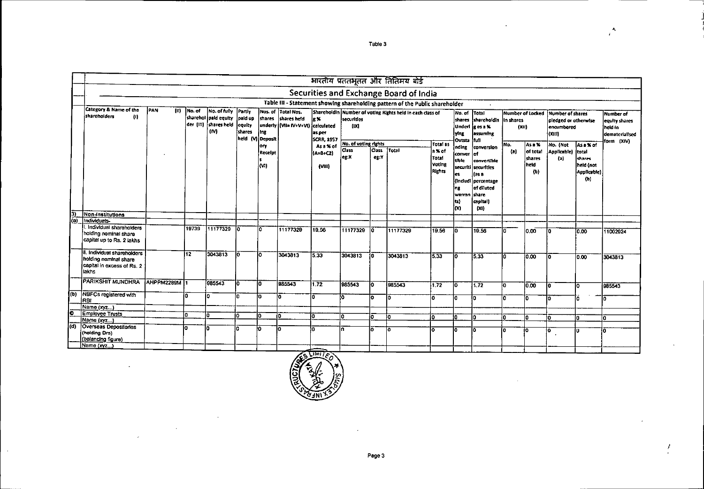|     |                                                                                             |               |        |                                                                               |                                                |                 |                                                                               |                                     |                      |                 | भारतीय प्रततभूतत और तितिमय बोर्ड                                             |                                            |                                                                 |                                                                                                       |                           |                                   |                                                                      |                                             |                                                                        |
|-----|---------------------------------------------------------------------------------------------|---------------|--------|-------------------------------------------------------------------------------|------------------------------------------------|-----------------|-------------------------------------------------------------------------------|-------------------------------------|----------------------|-----------------|------------------------------------------------------------------------------|--------------------------------------------|-----------------------------------------------------------------|-------------------------------------------------------------------------------------------------------|---------------------------|-----------------------------------|----------------------------------------------------------------------|---------------------------------------------|------------------------------------------------------------------------|
|     |                                                                                             |               |        |                                                                               |                                                |                 |                                                                               |                                     |                      |                 | Securities and Exchange Board of India                                       |                                            |                                                                 |                                                                                                       |                           |                                   |                                                                      |                                             |                                                                        |
|     |                                                                                             |               |        |                                                                               |                                                |                 |                                                                               |                                     |                      |                 | Table III - Statement showing shareholding pattern of the Public shareholder |                                            |                                                                 |                                                                                                       |                           |                                   |                                                                      |                                             |                                                                        |
|     | Category & Name of the<br>shareholders<br>$\langle 0 \rangle$                               | İPANÎ<br>(II) | No. of | No. of fully<br>sharehol paid equity Joaid up<br>der (III) shares held<br>(M) | Partly<br>equity<br>shares<br>held (V) Deposit | ling            | Nos. of Total Nos.<br>shares shares held<br>underly (VII= IV+V+VI) calculated | le %<br>as per<br><b>SCRR, 1957</b> | securities<br>(1)    |                 | Shareholdin Number of voting Rights held in each class of                    |                                            | No. of Total<br>shares<br>ying.<br>Outsta                       | shareholdin In shares<br>Underliges a %<br>assuming<br>lfuti                                          | Number of Locked<br>(XII) |                                   | Number of shares<br>pledged or otherwise<br>encumbered<br>$(x$ $(t)$ |                                             | Number of<br>equity shares<br>Íheld In<br>dematerialised<br>form (XIV) |
|     |                                                                                             |               |        |                                                                               |                                                | lory            |                                                                               | As a % of                           | No. of voting rights |                 |                                                                              | Total as                                   | nding                                                           | conversion                                                                                            | INo.                      | As a %                            | No. (Not                                                             | As a % of                                   |                                                                        |
|     |                                                                                             |               |        |                                                                               |                                                | Receipt<br>lon) |                                                                               | (A+B+C2)<br>(v <sub>III</sub> )     | Class<br>leg:X       | lCəss i<br>eg:Y | Total                                                                        | a % of<br>Total<br>Voting<br><b>Rights</b> | conver of<br>tible.<br>es.<br>ing.<br>warran share<br>lr)<br>im | convertible<br>securiti securities<br>l fas a<br>(indudi percentage<br>of diluted<br>capital)<br>(XI) | (a)                       | of total<br>shares<br>held<br>(b) | Applicable) total<br>(a)                                             | diares.<br>held (not<br>Applicable).<br>(b) |                                                                        |
| 3)  | Non-institutions                                                                            |               |        |                                                                               |                                                |                 |                                                                               |                                     |                      |                 |                                                                              |                                            |                                                                 |                                                                                                       |                           |                                   |                                                                      |                                             |                                                                        |
| (a) | Individuals-                                                                                |               |        |                                                                               |                                                |                 |                                                                               |                                     |                      |                 |                                                                              |                                            |                                                                 |                                                                                                       |                           |                                   |                                                                      |                                             |                                                                        |
|     | . Individual shareholders<br>holding nominal share<br>capital up to Rs. 2 lakhs             |               | 19739  | 11177329                                                                      | ١o                                             | ۱o              | 11177329                                                                      | 19.56                               | 11177329             | I٥              | 11177329                                                                     | 19.56                                      | ١o                                                              | 19.56                                                                                                 | α                         | l0.00                             | ł٥                                                                   | 10.00                                       | 11002924                                                               |
|     | li. Individual shareholders<br>holding nominal share<br>capital in excess of Rs. 2<br>lakhs |               | 112    | 3043813                                                                       | lō.                                            | lo.             | 3043813                                                                       | 5.33                                | 3043813              | 10.             | 3043813                                                                      | 5.33                                       | 10                                                              | 5.33                                                                                                  | m                         | 10.00                             | l٥                                                                   | 0.00                                        | 3043813                                                                |
|     | <b>PARIKSHIT MUNDHRA</b>                                                                    | AHPPM2289M 1  |        | 985543                                                                        | Ιō                                             | l٥              | 985543                                                                        | 1.72                                | 985543               | İ٥              | 085543                                                                       | 1.72                                       | ١ō                                                              | 1.72                                                                                                  | ١o                        | 0.00                              | ١o                                                                   | l٥                                          | 985543                                                                 |
| (ര) | <b>NBFCs registered with</b><br>RBI                                                         |               | ۱o     | l٥                                                                            | İ۵                                             | lo.             | I٥                                                                            | I۵                                  | l٥                   | Ιō              | lo.                                                                          | Ι۵                                         | l٥                                                              | lo.                                                                                                   | n.                        | ľσ                                | l٥                                                                   | ľö                                          | l٥                                                                     |
|     | Name (xyz)                                                                                  |               |        |                                                                               |                                                |                 |                                                                               |                                     |                      |                 |                                                                              |                                            |                                                                 |                                                                                                       |                           |                                   |                                                                      |                                             |                                                                        |
| ē   | Employee Trusts                                                                             |               | l۵     | lo.                                                                           | lo.                                            | n.              | in.                                                                           | la.                                 | lo.                  | l۵              | Ιa                                                                           |                                            |                                                                 | ١O                                                                                                    |                           |                                   |                                                                      |                                             |                                                                        |
|     | Namo (xyz)                                                                                  |               |        |                                                                               |                                                |                 |                                                                               |                                     |                      |                 |                                                                              | ١o                                         |                                                                 |                                                                                                       | O                         | ۱o                                | I∩                                                                   | ln.                                         | l٥                                                                     |
| (d) | Overseas Depositories<br>(holding Drs)<br>(balancing figure)                                |               | n      | lö                                                                            | n.                                             | l٥              | lo.                                                                           | ln.                                 | I٨                   | ۱ö              | ١o                                                                           | I٥                                         | lo.                                                             | I٥                                                                                                    | I٥                        | io.                               | 10.                                                                  | Ιo                                          | ١o                                                                     |
|     | Name (xyz)                                                                                  |               |        |                                                                               |                                                |                 |                                                                               |                                     |                      |                 |                                                                              |                                            |                                                                 |                                                                                                       |                           |                                   |                                                                      |                                             |                                                                        |



 $\sim$ 

Table 3

 $\mathbf{A}_i$  $\epsilon$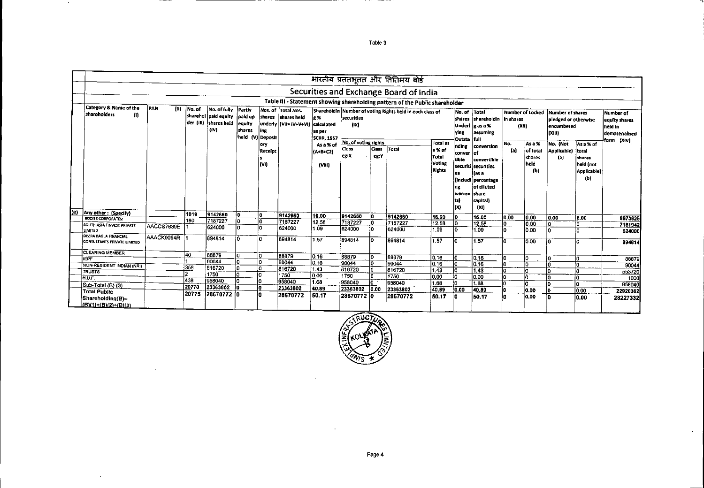|     |                                                             |            |        |                                                                                        |                         |                                  |                                                                                    |                                                   |                                           |                | भारतीय प्रततभूतत और तितिमय बोई                                               |                                            |                                                                |                                                                                                          |              |                                   |                                                                           |                                                    |                                                                              |
|-----|-------------------------------------------------------------|------------|--------|----------------------------------------------------------------------------------------|-------------------------|----------------------------------|------------------------------------------------------------------------------------|---------------------------------------------------|-------------------------------------------|----------------|------------------------------------------------------------------------------|--------------------------------------------|----------------------------------------------------------------|----------------------------------------------------------------------------------------------------------|--------------|-----------------------------------|---------------------------------------------------------------------------|----------------------------------------------------|------------------------------------------------------------------------------|
|     |                                                             |            |        |                                                                                        |                         |                                  |                                                                                    |                                                   |                                           |                |                                                                              |                                            |                                                                |                                                                                                          |              |                                   |                                                                           |                                                    |                                                                              |
|     |                                                             |            |        |                                                                                        |                         |                                  |                                                                                    |                                                   |                                           |                | Securities and Exchange Board of India                                       |                                            |                                                                |                                                                                                          |              |                                   |                                                                           |                                                    |                                                                              |
|     | Category & Name of the                                      | PAN.       |        |                                                                                        |                         |                                  |                                                                                    |                                                   |                                           |                | Table III - Statement showing shareholding pattern of the Public shareholder |                                            |                                                                |                                                                                                          |              |                                   |                                                                           |                                                    |                                                                              |
|     | shareholders<br>49                                          | (II)       | No. of | No. of fully   Partly<br>sharehol paid equity paid up<br>der (iii) shares held<br>(IV) | equity<br><b>shares</b> | ing.<br>held (V) Deposit<br>lery | Nos. of Total Nos.<br>shares shares held<br>[underly   (VII= IV+V+VI)   calculated | le %<br>las per<br><b>SCRR, 1957</b><br>As a % of | securities<br>(1)<br>No. of voting rights |                | Shareholdin Number of voting Rights held in each class of                    | Total as                                   | No. of Total<br>Ishares<br> ving <br>Outsta full<br>nding      | shareholdin in shares<br>Undert gas a %<br>assuming<br>conversion                                        | (XII)<br>No. | Number of Locked<br>As a %        | Number of shares<br>pledged or otherwise<br>encumbered<br>(x)<br>No. (Not | As a % of                                          | <b>Number of</b><br>equity shares<br>heid in<br>dematerialised<br>form (XIV) |
|     |                                                             |            |        |                                                                                        |                         | Receipt<br>ltvu                  |                                                                                    | (A+B+C2)<br>(VIII)                                | Class<br>leg:X                            | lClass<br>eg:Y | Total                                                                        | a % of<br><b>Total</b><br>Voting<br>Rights | conver of<br>tible<br>es.<br>ng<br>warran Ishare<br>tsl<br>(X) | convertible<br>securiti securities<br>l fas a<br>Includi percentage<br>of diluted<br>capital)<br>$(x_0)$ | (a)          | of total<br>shares<br>held<br>(b) | Applicable)<br>$\left( p\right)$                                          | total<br>shares<br>held (not<br>Applicable)<br>(b) |                                                                              |
| (e) | Any other: (Specify)<br><b>BODIES CORPORATES:</b>           |            | 1019   | 9142660                                                                                | ≬0.                     | lo.                              | 9142660                                                                            | 16.00                                             | 9142660                                   | 10             | 9142660                                                                      | 16.00                                      | ١o                                                             | 16.00                                                                                                    | 0.00         | 0.00                              | 0.00                                                                      | 10.00                                              |                                                                              |
|     |                                                             |            | 180    | 7187227                                                                                | lo.                     | ۱O                               | 7187227                                                                            | 12.58                                             | 7187227                                   | 10             | 7187227                                                                      | 12.58                                      | io                                                             | 12.58                                                                                                    | n            | 0.00                              | I۵                                                                        | ١o                                                 | 8873625<br>7181942                                                           |
|     | SOUTH ASIA FINVEST PRIVATE<br><b>LIMITED</b>                | AACCS7639E |        | 624000                                                                                 | n.                      | In.                              | 624000                                                                             | 1.09                                              | 624000                                    | ١ō             | 624000                                                                       | 1.09                                       | ١o                                                             | 1.09                                                                                                     | 0.           | 0.00                              | lo.                                                                       | ln.                                                | 624000                                                                       |
|     | <b>DEEPA BAGLA FINANCIAL</b><br>CONSULTANTS PRIVATE LIMITED | AAACK9094R |        | 894814                                                                                 | IO.                     | l0.                              | 894814                                                                             | 1.57                                              | 894814                                    | l٥             | 894814                                                                       | 1.57                                       | l٥                                                             | 1.57                                                                                                     |              | 0.00                              | ١o                                                                        | I۵                                                 | 894814                                                                       |
|     | <b>CLEARING MEMBER</b>                                      |            | 40     | 88879                                                                                  | lo.                     | lo.                              | 88879                                                                              | 0.16                                              | 88879                                     | I٥             | 88879                                                                        |                                            |                                                                |                                                                                                          | in.          |                                   |                                                                           |                                                    |                                                                              |
|     | <b>IEPF</b>                                                 |            |        | 190044                                                                                 | ١o                      | lo.                              | 90044                                                                              | 0.16                                              | 90044                                     | I٥             | 90044                                                                        | ID 16.                                     | ١o                                                             | 0.16                                                                                                     |              | I٥                                | ١o                                                                        | l٥                                                 | 88879                                                                        |
|     | NON-RESIDENT INDIAN (NRI)                                   |            | 358    | 816720                                                                                 | IO.                     | l۵                               | 816720                                                                             | 1.43                                              | 816720                                    | ۱o             | 816720                                                                       | l0 16<br>1.43                              | l٥<br>١o                                                       | 0.16                                                                                                     |              | ۱o                                |                                                                           | ١o                                                 | 90044                                                                        |
|     | TRUSTS                                                      |            | b.     | 1750                                                                                   | O                       | io.                              | 1750                                                                               | 0.00                                              | 1750                                      | ۱o             | 1750                                                                         |                                            | Ϊő                                                             | 1.43                                                                                                     | lo.          | ۱a                                |                                                                           | n                                                  | 553720                                                                       |
|     | H.U.F.                                                      |            | 438    | 958040                                                                                 | l٥                      | ١ō                               | 958040                                                                             | 1.68                                              | 958040                                    | io.            | 958040                                                                       | 0.00                                       | io.                                                            | 0.00                                                                                                     | n<br>ln.     | I٥                                |                                                                           | ۱٥                                                 | 1000                                                                         |
|     | Sub-Total (B) (3)                                           |            | 20770  | 23363802                                                                               | lo.                     | n.                               | 23363802                                                                           | 40.89                                             | 23363802                                  | 0.00           | 23363802                                                                     | .66<br>40.69                               |                                                                | 1.68                                                                                                     |              | l۵                                |                                                                           |                                                    | 958040                                                                       |
|     | <b>Total Public</b>                                         |            | 20775  | 28670772 10                                                                            |                         |                                  | 28670772                                                                           | 50.17                                             | 28670772 0                                |                |                                                                              |                                            | 0.00                                                           | 40.89                                                                                                    | lo.          | 0.00                              |                                                                           | 10.00                                              | 22920362                                                                     |
|     | Shareholding(B)=<br>(B)(1)+(B)(2)+(B)(3)                    |            |        |                                                                                        |                         |                                  |                                                                                    |                                                   |                                           |                | 28670772                                                                     | 50.17                                      | ١o                                                             | 50.17                                                                                                    |              | 0.00                              |                                                                           | 10.00                                              | 28227332                                                                     |



 $\sim$ 

 $\sim$ 

 $\sim$ 

 $\sim$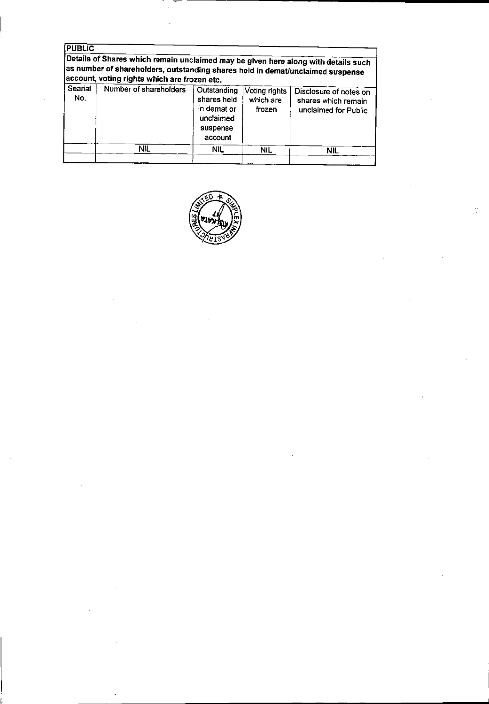| <b>PUBLIC</b>  |                                                                                                                                                                                                                      |                                                                               |                                      |                                                                       |
|----------------|----------------------------------------------------------------------------------------------------------------------------------------------------------------------------------------------------------------------|-------------------------------------------------------------------------------|--------------------------------------|-----------------------------------------------------------------------|
|                | Details of Shares which remain unclaimed may be given here along with details such<br>as number of shareholders, outstanding shares held in demat/unclaimed suspense<br>account, voting rights which are frozen etc. |                                                                               |                                      |                                                                       |
| Searial<br>No. | Number of shareholders                                                                                                                                                                                               | Outstanding<br>shares held<br>in demat or<br>unclaimed<br>suspense<br>account | Voting rights<br>which are<br>frozen | Disclosure of notes on<br>shares which remain<br>unclaimed for Public |
|                | NIL.                                                                                                                                                                                                                 | NIL.                                                                          | <b>NIL</b>                           | <b>NIL</b>                                                            |

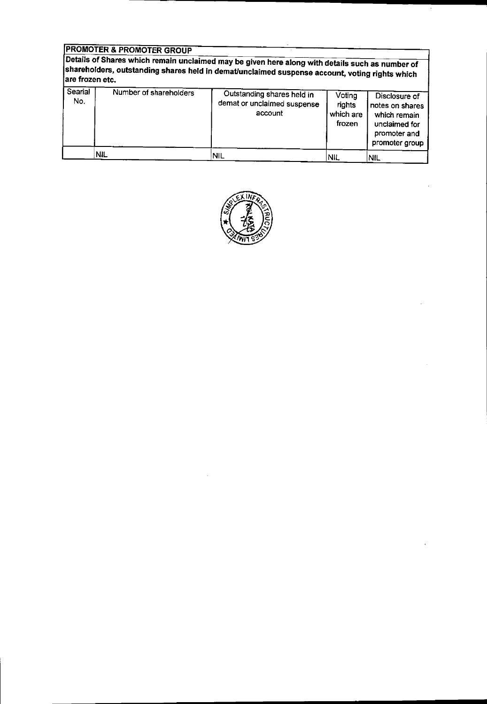## PROMOTER & PROMOTER GROUP

Details of Shares which remain unclaimed may be given here along with details such as number of shareholders. outstanding shares held in dematlunclaimed suspense account, voting rights which are frozen etc.

| Searial<br>No. | Number of shareholders | Outstanding shares held in<br>demat or unclaimed suspense<br>account | Voting<br>rights<br>which are<br>frozen | Disclosure of<br>notes on shares<br>which remain<br>unclaimed for<br>promoter and<br>promoter group |
|----------------|------------------------|----------------------------------------------------------------------|-----------------------------------------|-----------------------------------------------------------------------------------------------------|
|                | 'NIL                   | <b>NIL</b>                                                           | NIL                                     | <b>NIL</b>                                                                                          |

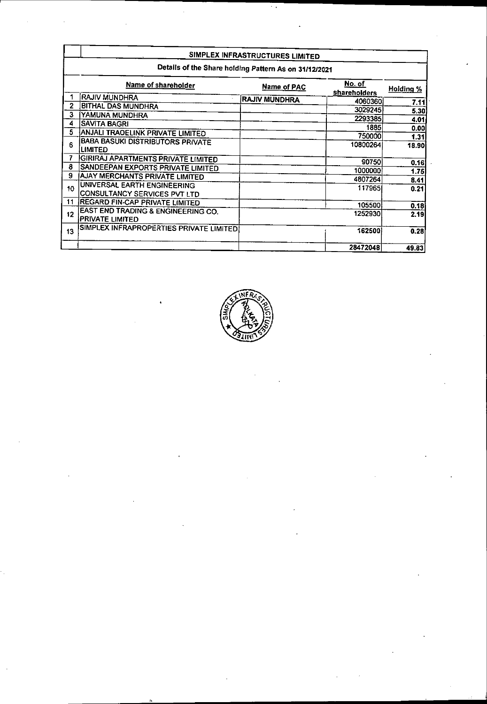|                |                                                              | SIMPLEX INFRASTRUCTURES LIMITED |                               |                  |
|----------------|--------------------------------------------------------------|---------------------------------|-------------------------------|------------------|
|                | Details of the Share holding Pattern As on 31/12/2021        |                                 |                               |                  |
|                | Name of shareholder                                          | Name of PAC                     | No. of<br><b>shareholders</b> | <b>Holding %</b> |
|                | RAJIV MUNDHRA                                                | <b>RAJIV MUNDHRA</b>            | 4060360                       | 7.11             |
| $\overline{2}$ | <b>BITHAL DAS MUNDHRA</b>                                    |                                 | 3029245                       | 5.30             |
| 3              | YAMUNA MUNDHRA                                               |                                 | 2293385                       | 4.01             |
| 4              | <b>SAVITA BAGRI</b>                                          |                                 | 1885                          | 0.00             |
| 5              | ANJALI TRADELINK PRIVATE LIMITED                             |                                 | 750000                        | 1.31             |
| 6              | <b>BABA BASUKI DISTRIBUTORS PRIVATE</b><br><b>LIMITED</b>    |                                 | 10800264                      | 18.90            |
| 7              | <b>GIRIRAJ APARTMENTS PRIVATE LIMITED</b>                    |                                 | 90750                         |                  |
| 8              | SANDEEPAN EXPORTS PRIVATE LIMITED                            |                                 | 1000000                       | 0.16             |
| 9              | <b>AJAY MERCHANTS PRIVATE LIMITED</b>                        |                                 | 4807264                       | 1.75             |
| 10             | UNIVERSAL EARTH ENGINEERING<br>CONSULTANCY SERVICES PVT LTD  |                                 | 117965                        | 8.41<br>0.21     |
| 11             | <b>IREGARD FIN-CAP PRIVATE LIMITED</b>                       |                                 | 105500 <b> </b>               | 0.18             |
| 12             | EAST END TRADING & ENGINEERING CO.<br><b>PRIVATE LIMITED</b> |                                 | 1252930                       | 2.19             |
| 13             | SIMPLEX INFRAPROPERTIES PRIVATE LIMITED                      |                                 | 162500                        | 0.28             |
|                |                                                              |                                 | 28472048                      | 49.83            |

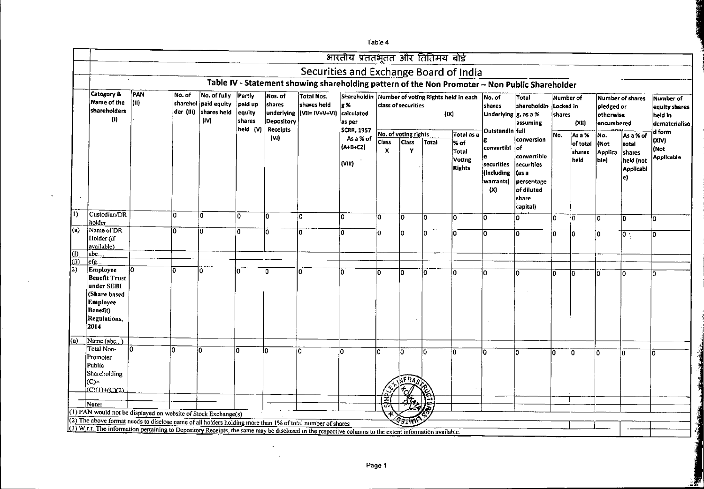|                     |                                                                                                                                                        |              |        |                                                                       |                                       |                                               |                                                                                                | भारतीय प्रततभूतत और तितिमय बोर्ड                                                |                                           |                      |       |                                          |                                                            |                                                                                                          |                                  |                            |                                       |                                                         |                                                        |
|---------------------|--------------------------------------------------------------------------------------------------------------------------------------------------------|--------------|--------|-----------------------------------------------------------------------|---------------------------------------|-----------------------------------------------|------------------------------------------------------------------------------------------------|---------------------------------------------------------------------------------|-------------------------------------------|----------------------|-------|------------------------------------------|------------------------------------------------------------|----------------------------------------------------------------------------------------------------------|----------------------------------|----------------------------|---------------------------------------|---------------------------------------------------------|--------------------------------------------------------|
|                     |                                                                                                                                                        |              |        |                                                                       |                                       |                                               | Securities and Exchange Board of India                                                         |                                                                                 |                                           |                      |       |                                          |                                                            |                                                                                                          |                                  |                            |                                       |                                                         |                                                        |
|                     |                                                                                                                                                        |              |        |                                                                       |                                       |                                               | Table IV - Statement showing shareholding pattern of the Non Promoter - Non Public Shareholder |                                                                                 |                                           |                      |       |                                          |                                                            |                                                                                                          |                                  |                            |                                       |                                                         |                                                        |
|                     | Category &<br>Name of the<br>shareholders<br>$\left( 0\right)$                                                                                         | PAN<br> (II) | No. of | No. of fully<br>sharehol paid equity<br>der (III) shares held<br>(IV) | Partly<br>paid up<br>equity<br>shares | Nos. of<br>shares<br>underlying<br>Depository | <b>Total Nos.</b><br>shares held<br> (VII= IV+V+VI)                                            | Shareholdin Number of voting Rights held in each<br>g %<br>calculated<br>as per |                                           | class of securities  |       | (IX)                                     | No. of<br>shares<br>Underlying $ g$ , as a %               | Total<br>shareholdin<br>assuming                                                                         | Number of<br>Locked in<br>shares | (X t)                      | pleoged or<br>otherwise<br>encumbered | Number of shares                                        | Number of<br>equity shares<br>held in<br>dematerialise |
|                     |                                                                                                                                                        |              |        |                                                                       | held (V)                              | Receipts<br>(VI)                              |                                                                                                | <b>SCRR 1957</b><br>As a % of                                                   |                                           | No. of voting rights |       | Total as a                               | Outstandin full                                            |                                                                                                          | No.                              | As a %                     | No.                                   | As a % of                                               | d form                                                 |
|                     |                                                                                                                                                        |              |        |                                                                       |                                       |                                               |                                                                                                | $(A+B+CZ)$<br>(VIII)                                                            | <b>Class</b><br>$\boldsymbol{\mathsf{x}}$ | <b>Class</b><br>Υ    | Total | % of<br>Total<br>Voting<br><b>Rights</b> | convertibl<br>securities<br>(including<br>warrants)<br>(X) | conversion<br>∤of<br>convertible<br>securities<br>(as a<br>percentage<br>of diluted<br>share<br>capital) |                                  | of total<br>shares<br>held | l(Not<br><b>Applica</b><br>ble)       | total<br>shares<br>held (not<br><b>Applicabl</b><br>le) | (XIV)<br>(Not<br><b>Applicable</b>                     |
| l١                  | Custodian/DR<br>holder                                                                                                                                 |              | ۱a     | lo.                                                                   | IO.                                   | 10                                            | o                                                                                              | ١o                                                                              | O.                                        | 10                   | I٥    | 0                                        | $\Omega$                                                   | O                                                                                                        | lo.                              | ١o                         | lo                                    | 10                                                      | lo.                                                    |
| $\vert$ (a)         | Name of DR                                                                                                                                             |              | 0      | ÌO.                                                                   | 0.                                    |                                               | 'n                                                                                             | ١o                                                                              | l0.                                       | 0                    | I٥    | 0                                        | $\Omega$                                                   | Ιō                                                                                                       |                                  |                            |                                       |                                                         |                                                        |
|                     | Holder (if<br>available)                                                                                                                               |              |        |                                                                       |                                       |                                               |                                                                                                |                                                                                 |                                           |                      |       |                                          |                                                            |                                                                                                          | ١o                               | I٥                         | İ٥                                    | $\overline{\mathfrak{o}}$ .                             | 0                                                      |
| $\omega$            | abc…                                                                                                                                                   |              |        |                                                                       |                                       |                                               |                                                                                                |                                                                                 |                                           |                      |       |                                          |                                                            |                                                                                                          |                                  |                            |                                       |                                                         |                                                        |
| (i)<br>2)           | $cfg$ .<br>Employee<br><b>Benefit Trust</b>                                                                                                            | łО           | l0     |                                                                       | i0                                    | 'n                                            | ۱O                                                                                             | Ï٥                                                                              | l۵.                                       | Ò                    | l٥    | Ιō                                       |                                                            | l٥                                                                                                       | lo.                              | 'n                         | n                                     | l٥                                                      | 0                                                      |
|                     | under SEBI<br>(Share based<br><b>Employee</b><br>Benefit)<br>Regulations,<br>2014                                                                      |              |        |                                                                       |                                       |                                               |                                                                                                |                                                                                 |                                           |                      |       |                                          |                                                            |                                                                                                          |                                  |                            |                                       |                                                         |                                                        |
| $\overline{\omega}$ | Name (abc.                                                                                                                                             |              |        |                                                                       |                                       |                                               |                                                                                                |                                                                                 |                                           |                      |       |                                          |                                                            |                                                                                                          |                                  |                            |                                       |                                                         |                                                        |
|                     | Total Non-<br>Promoter<br>Public                                                                                                                       | İ0           | n.     | In                                                                    | n                                     | n.                                            | n                                                                                              | Ω                                                                               | lo.                                       | lo                   | l٥    | ۱o                                       | ۱٥                                                         | I۵                                                                                                       | n.                               | ١o                         | O.                                    | ĺ٥                                                      | l٥                                                     |
|                     | Shareholding<br>$ C=$<br>ICYUHCY2)                                                                                                                     |              |        |                                                                       |                                       |                                               |                                                                                                |                                                                                 |                                           | JFRA.                |       | ٠.                                       |                                                            |                                                                                                          |                                  |                            |                                       |                                                         |                                                        |
|                     |                                                                                                                                                        |              |        |                                                                       |                                       |                                               |                                                                                                |                                                                                 |                                           |                      |       |                                          |                                                            |                                                                                                          |                                  |                            |                                       |                                                         |                                                        |
|                     | Note:                                                                                                                                                  |              |        |                                                                       |                                       |                                               |                                                                                                |                                                                                 |                                           |                      |       |                                          |                                                            |                                                                                                          |                                  |                            |                                       |                                                         |                                                        |
|                     | (1) PAN would not be displayed on website of Stock Exchange(s)                                                                                         |              |        |                                                                       |                                       |                                               |                                                                                                |                                                                                 |                                           |                      |       |                                          |                                                            |                                                                                                          |                                  |                            |                                       |                                                         |                                                        |
|                     | (2) The above format needs to disclose name of all holders holding more than 1% of total number of shares                                              |              |        |                                                                       |                                       |                                               |                                                                                                |                                                                                 |                                           | חודד                 |       |                                          |                                                            |                                                                                                          |                                  |                            |                                       |                                                         |                                                        |
|                     | (3) W.r.t. The information pertaining to Depository Receipts, the same may be disclosed in the respective columns to the extent information available. |              |        |                                                                       |                                       |                                               |                                                                                                |                                                                                 |                                           |                      |       |                                          |                                                            |                                                                                                          |                                  |                            |                                       |                                                         |                                                        |

 $\Delta$ 

 $\sim$ 

Table 4

 $\sim$  $\sim 1000$